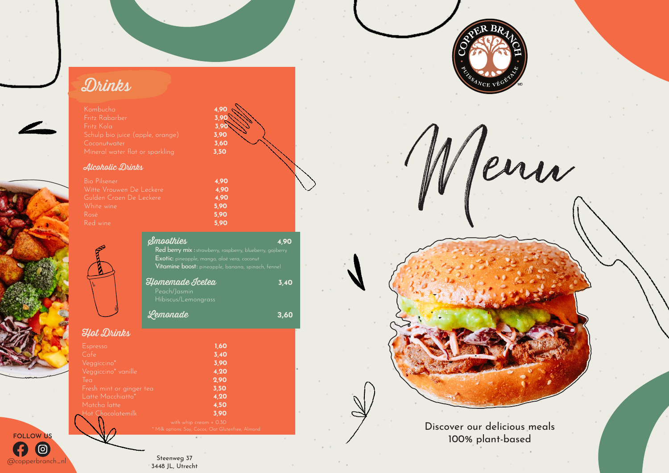## Drinks

Kombucha 4,90 Fritz Kola 3,90 Coconutwater **3,60**<br>Mineral water flat or sparkling **3,50** 

#### Alcoholic Drinks

 $@copperbranch_n$ 

 $\circledcirc$ 

**FOLLOW US**

G

| <b>Bio Pilsener</b>      | 4.90 |
|--------------------------|------|
| Witte Vrouwen De Leckere | 4.90 |
| Gulden Craen De Leckere  | 4.90 |
| White wine,              | 5.90 |
| Rosé                     | 5.90 |
| Red wine                 | 5.90 |

|                                               | <b><i><u>Smoothies</u></i></b><br><b>Red berry mix</b> : strawberry, raspberry, blueberry, gojiberry<br><b>Exotic:</b> pineapple, mango, aloë vera, coconut<br>Vitamine boost: pineapple, banana, spinach, fennel<br>Homemade Icetea<br>Peach/Jasmin<br>Hibiscus/Lemongrass | 4.90<br>3,40 |
|-----------------------------------------------|-----------------------------------------------------------------------------------------------------------------------------------------------------------------------------------------------------------------------------------------------------------------------------|--------------|
|                                               | Lemonade                                                                                                                                                                                                                                                                    | 3,60         |
| Hot Drinks                                    |                                                                                                                                                                                                                                                                             |              |
| Espresso                                      | 1,60                                                                                                                                                                                                                                                                        |              |
| Cafe                                          | 3,40                                                                                                                                                                                                                                                                        |              |
| Veggiccino*                                   | 3,90                                                                                                                                                                                                                                                                        |              |
| Veggiccino* vanille                           | 4,20                                                                                                                                                                                                                                                                        |              |
| Iea                                           | 2,90<br>3,50                                                                                                                                                                                                                                                                |              |
| Fresh mint or ginger tea<br>Latte Macchiatto* | 4,20                                                                                                                                                                                                                                                                        |              |
| Matcha latte                                  | 4,50                                                                                                                                                                                                                                                                        |              |
| Hot Chocolatemilk                             | 3,90                                                                                                                                                                                                                                                                        |              |
|                                               | with whip cream + 0.30<br>* Milk options: Soy, Cocos, Oat Glutenfree, Almond                                                                                                                                                                                                |              |

 $4,90$ 



leur

Discover our delicious meals 100% plant-based

Steenweg 37<br>3448 JL, Utrecht